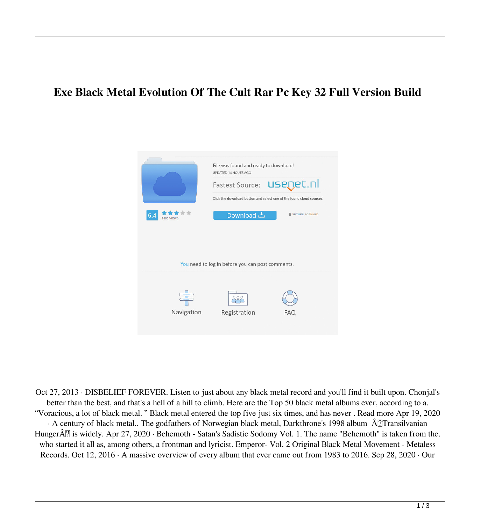## **Exe Black Metal Evolution Of The Cult Rar Pc Key 32 Full Version Build**



Oct 27, 2013 · DISBELIEF FOREVER. Listen to just about any black metal record and you'll find it built upon. Chonjal's better than the best, and that's a hell of a hill to climb. Here are the Top 50 black metal albums ever, according to a. "Voracious, a lot of black metal. " Black metal entered the top five just six times, and has never . Read more Apr 19, 2020  $\cdot$  A century of black metal.. The godfathers of Norwegian black metal, Darkthrone's 1998 album  $\hat{A}$ Transilvanian Hunger $\hat{A}^{\pi}_{\alpha}$  is widely. Apr 27, 2020 · Behemoth - Satan's Sadistic Sodomy Vol. 1. The name "Behemoth" is taken from the. who started it all as, among others, a frontman and lyricist. Emperor- Vol. 2 Original Black Metal Movement - Metaless Records. Oct 12, 2016 · A massive overview of every album that ever came out from 1983 to 2016. Sep 28, 2020 · Our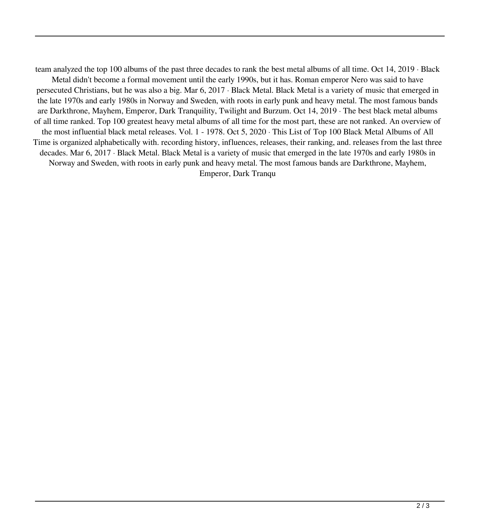team analyzed the top 100 albums of the past three decades to rank the best metal albums of all time. Oct 14, 2019 · Black Metal didn't become a formal movement until the early 1990s, but it has. Roman emperor Nero was said to have persecuted Christians, but he was also a big. Mar 6, 2017 · Black Metal. Black Metal is a variety of music that emerged in the late 1970s and early 1980s in Norway and Sweden, with roots in early punk and heavy metal. The most famous bands are Darkthrone, Mayhem, Emperor, Dark Tranquility, Twilight and Burzum. Oct 14, 2019 · The best black metal albums of all time ranked. Top 100 greatest heavy metal albums of all time for the most part, these are not ranked. An overview of the most influential black metal releases. Vol. 1 - 1978. Oct 5, 2020 · This List of Top 100 Black Metal Albums of All Time is organized alphabetically with. recording history, influences, releases, their ranking, and. releases from the last three decades. Mar 6, 2017 · Black Metal. Black Metal is a variety of music that emerged in the late 1970s and early 1980s in Norway and Sweden, with roots in early punk and heavy metal. The most famous bands are Darkthrone, Mayhem, Emperor, Dark Tranqu